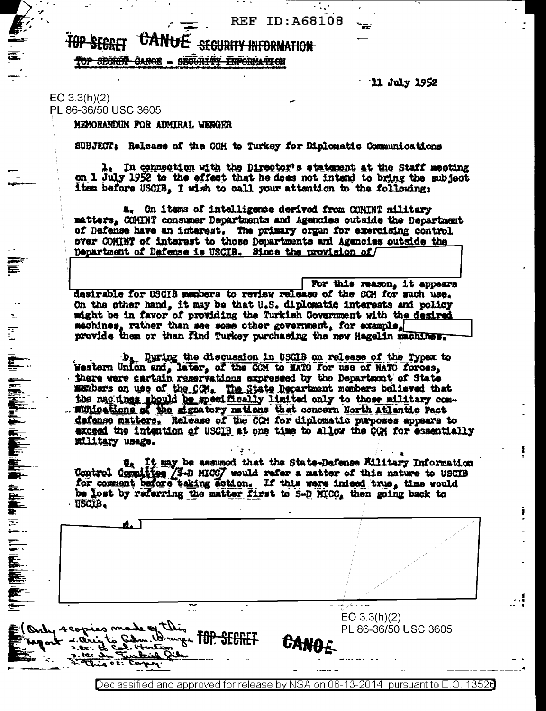**REF ID: A68108** 

## CANUE **TOP SEGRET SECURITY INFORMATION** TOP SECRET CANOE - SECURITY INFORMATION

11 July 1952

## $EO$  3.3(h)(2) PL 86-36/50 USC 3605

E.

MEMORANDUM FOR ADMIRAL WENGER

SUBJECT: Release of the CCH to Turkey for Diplomatic Communications

1. In connection with the Director's statement at the Staff meeting on 1 July 1952 to the effect that he does not intend to bring the subject item before USCIB. I wish to call your attention to the following:

a. On items of intelligence derived from COMINT military matters, COMINT consumer Departments and Agencies outside the Department of Defense have an interest. The primary organ for exercising control over COMINT of interest to those Departments and Agencies outside the Department of Dafense is USCIB. Since the provision of

For this reason, it appears desirable for USCIB members to review release of the CCM for such use. On the other hand, it may be that U.S. diplomatic interests and policy wight be in favor of providing the Turkish Government with the desired machines, rather than see some other government, for example, provide them or than find Turkey purchasing the new Hagalin machines.

b. During the discussion in USGIB on release of the Typex to Western Union and, later, of the CCM to MATO for use of NATO forces, there were cartain reservations expressed by the Department of State manbers on use of the COM. The State Department members believed that the mag ines should be specifically limited only to those military com-... munications of the signatory mations that concern North Atlantic Pact defense matters. Release of the CCH for diplomatic purposes appears to exceed the intention of USCIB at one time to allow the CCH for essentially military usage.

It may be assumed that the State-Dafense Military Information t., Control Committee 3-D MICO7 would refer a matter of this nature to USCIB<br>for comment before taking action. If this were inleed true, time would<br>be lost by referring the matter first to S-D MICC, then going back to USCIB.

d. 1 منعاما الأكتار ≅  $EO 3.3(h)(2)$ this = Only Acopies m PL 86-36/50 USC 3605 Wange FOP SECRET CANG  $4.0<sub>W</sub>$ یدگی آمنا سحتك  $2.88.$ <u> مىگەنىمال</u>

 $\omega_{\rm{max}}$ 

Declassified and approved for release by NSA on 06-13-2014 pursuant to E.O. 13520